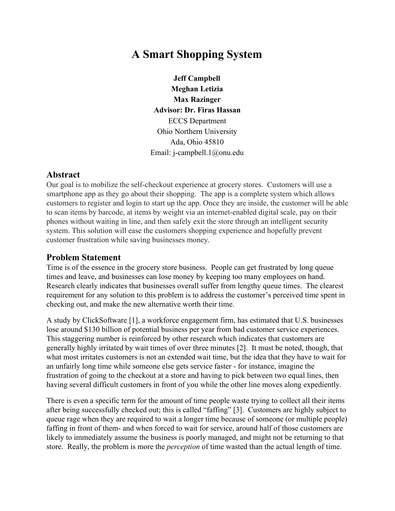# **A Smart Shopping System**

**Jeff Campbell Meghan Letizia Max Razinger Advisor: Dr. Firas Hassan** ECCS Department Ohio Northern University Ada, Ohio 45810 Email: j-campbell.1@onu.edu

#### **Abstract**

Our goal is to mobilize the self-checkout experience at grocery stores. Customers will use a smartphone app as they go about their shopping. The app is a complete system which allows customers to register and login to start up the app. Once they are inside, the customer will be able to scan items by barcode, at items by weight via an internet-enabled digital scale, pay on their phones without waiting in line, and then safely exit the store through an intelligent security system. This solution will ease the customers shopping experience and hopefully prevent customer frustration while saving businesses money.

#### **Problem Statement**

Time is of the essence in the grocery store business. People can get frustrated by long queue times and leave, and businesses can lose money by keeping too many employees on hand. Research clearly indicates that businesses overall suffer from lengthy queue times. The clearest requirement for any solution to this problem is to address the customer's perceived time spent in checking out, and make the new alternative worth their time.

A study by ClickSoftware [1], a workforce engagement firm, has estimated that U.S. businesses lose around \$130 billion of potential business per year from bad customer service experiences. This staggering number is reinforced by other research which indicates that customers are generally highly irritated by wait times of over three minutes [2]. It must be noted, though, that what most irritates customers is not an extended wait time, but the idea that they have to wait for an unfairly long time while someone else gets service faster - for instance, imagine the frustration of going to the checkout at a store and having to pick between two equal lines, then having several difficult customers in front of you while the other line moves along expediently.

There is even a specific term for the amount of time people waste trying to collect all their items after being successfully checked out; this is called "faffing" [3]. Customers are highly subject to queue rage when they are required to wait a longer time because of someone (or multiple people) faffing in front of them- and when forced to wait for service, around half of those customers are likely to immediately assume the business is poorly managed, and might not be returning to that store. Really, the problem is more the *perception* of time wasted than the actual length of time.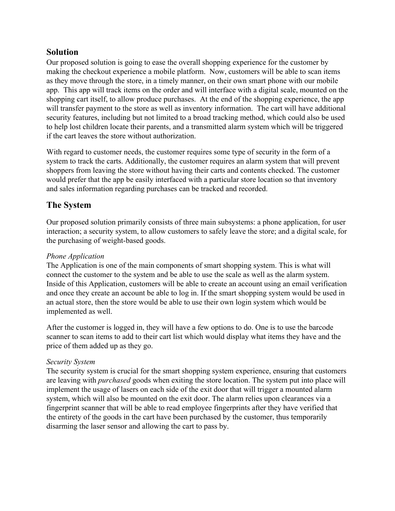## **Solution**

Our proposed solution is going to ease the overall shopping experience for the customer by making the checkout experience a mobile platform. Now, customers will be able to scan items as they move through the store, in a timely manner, on their own smart phone with our mobile app. This app will track items on the order and will interface with a digital scale, mounted on the shopping cart itself, to allow produce purchases. At the end of the shopping experience, the app will transfer payment to the store as well as inventory information. The cart will have additional security features, including but not limited to a broad tracking method, which could also be used to help lost children locate their parents, and a transmitted alarm system which will be triggered if the cart leaves the store without authorization.

With regard to customer needs, the customer requires some type of security in the form of a system to track the carts. Additionally, the customer requires an alarm system that will prevent shoppers from leaving the store without having their carts and contents checked. The customer would prefer that the app be easily interfaced with a particular store location so that inventory and sales information regarding purchases can be tracked and recorded.

## **The System**

Our proposed solution primarily consists of three main subsystems: a phone application, for user interaction; a security system, to allow customers to safely leave the store; and a digital scale, for the purchasing of weight-based goods.

#### *Phone Application*

The Application is one of the main components of smart shopping system. This is what will connect the customer to the system and be able to use the scale as well as the alarm system. Inside of this Application, customers will be able to create an account using an email verification and once they create an account be able to log in. If the smart shopping system would be used in an actual store, then the store would be able to use their own login system which would be implemented as well.

After the customer is logged in, they will have a few options to do. One is to use the barcode scanner to scan items to add to their cart list which would display what items they have and the price of them added up as they go.

#### *Security System*

The security system is crucial for the smart shopping system experience, ensuring that customers are leaving with *purchased* goods when exiting the store location. The system put into place will implement the usage of lasers on each side of the exit door that will trigger a mounted alarm system, which will also be mounted on the exit door. The alarm relies upon clearances via a fingerprint scanner that will be able to read employee fingerprints after they have verified that the entirety of the goods in the cart have been purchased by the customer, thus temporarily disarming the laser sensor and allowing the cart to pass by.